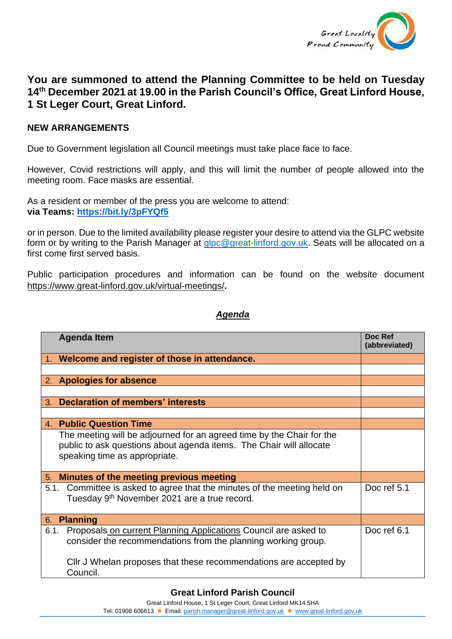

## **You are summoned to attend the Planning Committee to be held on Tuesday 14th December 2021 at 19.00 in the Parish Council's Office, Great Linford House, 1 St Leger Court, Great Linford.**

## **NEW ARRANGEMENTS**

Due to Government legislation all Council meetings must take place face to face.

However, Covid restrictions will apply, and this will limit the number of people allowed into the meeting room. Face masks are essential.

As a resident or member of the press you are welcome to attend: **via Teams: <https://bit.ly/3pFYQf5>**

or in person. Due to the limited availability please register your desire to attend via the GLPC website form or by writing to the Parish Manager at [glpc@great-linford.gov.uk.](mailto:glpc@great-linford.gov.uk) Seats will be allocated on a first come first served basis.

Public participation procedures and information can be found on the website document <https://www.great-linford.gov.uk/virtual-meetings/>**.**

## *Agenda*

| <b>Agenda Item</b>                                                                                                                                                            | Doc Ref<br>(abbreviated) |
|-------------------------------------------------------------------------------------------------------------------------------------------------------------------------------|--------------------------|
| 1. Welcome and register of those in attendance.                                                                                                                               |                          |
|                                                                                                                                                                               |                          |
| 2. Apologies for absence                                                                                                                                                      |                          |
|                                                                                                                                                                               |                          |
| <b>Declaration of members' interests</b><br>3.                                                                                                                                |                          |
|                                                                                                                                                                               |                          |
| 4. Public Question Time                                                                                                                                                       |                          |
| The meeting will be adjourned for an agreed time by the Chair for the<br>public to ask questions about agenda items. The Chair will allocate<br>speaking time as appropriate. |                          |
| Minutes of the meeting previous meeting<br>5.                                                                                                                                 |                          |
| 5.1. Committee is asked to agree that the minutes of the meeting held on<br>Tuesday 9 <sup>th</sup> November 2021 are a true record.                                          | Doc ref 5.1              |
| <b>Planning</b><br>6.                                                                                                                                                         |                          |
| Proposals on current Planning Applications Council are asked to<br>6.1.<br>consider the recommendations from the planning working group.                                      | Doc ref 6.1              |
| Cllr J Whelan proposes that these recommendations are accepted by<br>Council.                                                                                                 |                          |